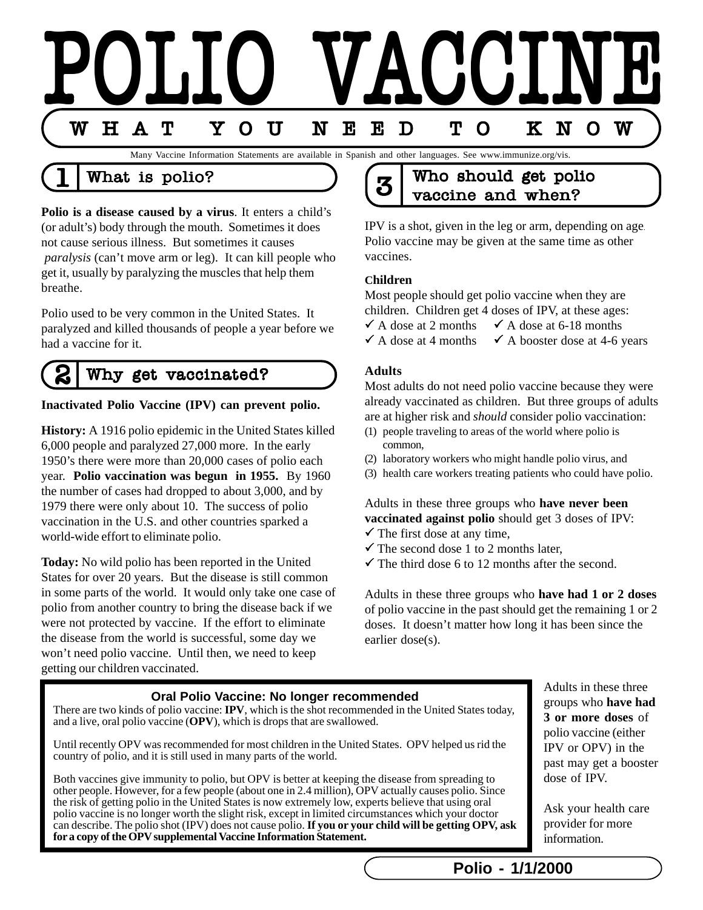

### What is polio?

**Polio is a disease caused by a virus**. It enters a child's (or adult's) body through the mouth. Sometimes it does not cause serious illness. But sometimes it causes *paralysis* (can't move arm or leg). It can kill people who get it, usually by paralyzing the muscles that help them breathe.

Polio used to be very common in the United States. It paralyzed and killed thousands of people a year before we had a vaccine for it.

#### 2 Why get vaccinated?

#### **Inactivated Polio Vaccine (IPV) can prevent polio.**

**History:** A 1916 polio epidemic in the United States killed 6,000 people and paralyzed 27,000 more. In the early 1950's there were more than 20,000 cases of polio each year. **Polio vaccination was begun in 1955.** By 1960 the number of cases had dropped to about 3,000, and by 1979 there were only about 10. The success of polio vaccination in the U.S. and other countries sparked a world-wide effort to eliminate polio.

**Today:** No wild polio has been reported in the United States for over 20 years. But the disease is still common in some parts of the world. It would only take one case of polio from another country to bring the disease back if we were not protected by vaccine. If the effort to eliminate the disease from the world is successful, some day we won't need polio vaccine. Until then, we need to keep getting our children vaccinated.

## $3 \frac{1}{3}$  Who should get polio vaccine and when?

IPV is a shot, given in the leg or arm, depending on age. Polio vaccine may be given at the same time as other vaccines.

#### **Children**

Most people should get polio vaccine when they are children. Children get 4 doses of IPV, at these ages:

 $\checkmark$  A dose at 2 months  $\checkmark$  A dose at 6-18 months

 $\checkmark$  A dose at 4 months  $\checkmark$  A booster dose at 4-6 years

#### **Adults**

Most adults do not need polio vaccine because they were already vaccinated as children. But three groups of adults are at higher risk and *should* consider polio vaccination:

- (1) people traveling to areas of the world where polio is common,
- (2) laboratory workers who might handle polio virus, and
- (3) health care workers treating patients who could have polio.

Adults in these three groups who **have never been vaccinated against polio** should get 3 doses of IPV:  $\checkmark$  The first dose at any time,

- $\checkmark$  The second dose 1 to 2 months later.
- $\checkmark$  The third dose 6 to 12 months after the second.

Adults in these three groups who **have had 1 or 2 doses** of polio vaccine in the past should get the remaining 1 or 2 doses. It doesn't matter how long it has been since the earlier dose(s).

#### **Oral Polio Vaccine: No longer recommended**

There are two kinds of polio vaccine: **IPV**, which is the shot recommended in the United States today, and a live, oral polio vaccine (**OPV**), which is drops that are swallowed.

Until recently OPV was recommended for most children in the United States. OPV helped us rid the country of polio, and it is still used in many parts of the world.

Both vaccines give immunity to polio, but OPV is better at keeping the disease from spreading to other people. However, for a few people (about one in 2.4 million), OPV actually causes polio. Since the risk of getting polio in the United States is now extremely low, experts believe that using oral polio vaccine is no longer worth the slight risk, except in limited circumstances which your doctor can describe. The polio shot (IPV) does not cause polio. **If you or your child will be getting OPV, ask for a copy of the OPV supplemental Vaccine Information Statement.**

Adults in these three groups who **have had 3 or more doses** of polio vaccine (either IPV or OPV) in the past may get a booster dose of IPV.

Ask your health care provider for more information.

**Polio - 1/1/2000**